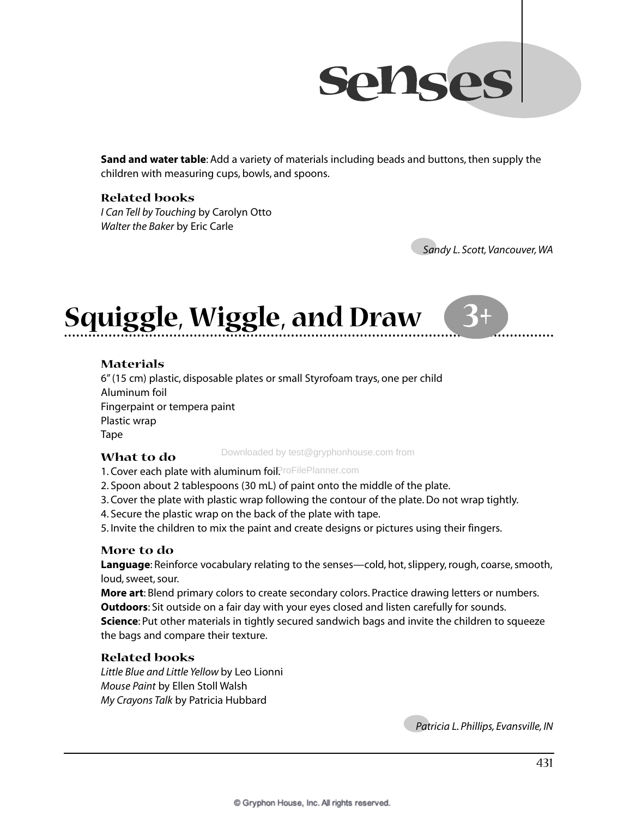

**Sand and water table**: Add a variety of materials including beads and buttons, then supply the children with measuring cups, bowls, and spoons.

#### **Related books**

*I Can Tell by Touching* by Carolyn Otto *Walter the Baker* by Eric Carle

●*Sandy L. Scott, Vancouver, WA* 

**3**

## **Squiggle, Wiggle, and Draw**

### **Materials**

6" (15 cm) plastic, disposable plates or small Styrofoam trays, one per child Aluminum foil Fingerpaint or tempera paint Plastic wrap Tape

#### **What to do**

Downloaded by test@gryphonhouse.com from

1. Cover each plate with aluminum foil. FoFilePlanner.com

2. Spoon about 2 tablespoons (30 mL) of paint onto the middle of the plate.

- 3. Cover the plate with plastic wrap following the contour of the plate. Do not wrap tightly.
- 4. Secure the plastic wrap on the back of the plate with tape.

5. Invite the children to mix the paint and create designs or pictures using their fingers.

### **More to do**

**Language**: Reinforce vocabulary relating to the senses—cold, hot, slippery, rough, coarse, smooth, loud, sweet, sour.

**More art**: Blend primary colors to create secondary colors. Practice drawing letters or numbers. **Outdoors**: Sit outside on a fair day with your eyes closed and listen carefully for sounds. **Science**: Put other materials in tightly secured sandwich bags and invite the children to squeeze the bags and compare their texture.

### **Related books**

*Little Blue and Little Yellow* by Leo Lionni *Mouse Paint* by Ellen Stoll Walsh *My Crayons Talk* by Patricia Hubbard

●*Patricia L. Phillips, Evansville, IN*